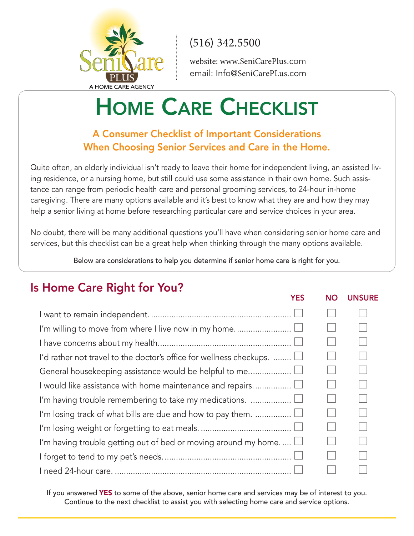

website: www.SeniCarePlus.com email: Info@SeniCarePLus.com

# **HOME CARE CHECKLIST**

#### **A Consumer Checklist of Important Considerations When Choosing Senior Services and Care in the Home.**

Quite often, an elderly individual isn't ready to leave their home for independent living, an assisted living residence, or a nursing home, but still could use some assistance in their own home. Such assistance can range from periodic health care and personal grooming services, to 24-hour in-home caregiving. There are many options available and it's best to know what they are and how they may help a senior living at home before researching particular care and service choices in your area.

No doubt, there will be many additional questions you'll have when considering senior home care and services, but this checklist can be a great help when thinking through the many options available.

Below are considerations to help you determine if senior home care is right for you.

### **Is Home Care Right for You?**

|                                                                                            | <b>YES</b> | <b>NO</b> | <b>UNSURE</b> |
|--------------------------------------------------------------------------------------------|------------|-----------|---------------|
|                                                                                            |            |           |               |
|                                                                                            |            |           |               |
|                                                                                            |            |           |               |
| I'd rather not travel to the doctor's office for wellness checkups. $\ldots \ldots \sqcup$ |            |           |               |
| General housekeeping assistance would be helpful to me                                     |            |           |               |
| I would like assistance with home maintenance and repairs. $\Box$                          |            |           |               |
| I'm having trouble remembering to take my medications.                                     |            |           |               |
| I'm losing track of what bills are due and how to pay them. $\Box$                         |            |           |               |
|                                                                                            |            |           |               |
| I'm having trouble getting out of bed or moving around my home. $\Box$                     |            |           |               |
|                                                                                            |            |           |               |
|                                                                                            |            |           |               |

If you answered **YES** to some of the above, senior home care and services may be of interest to you. Continue to the next checklist to assist you with selecting home care and service options.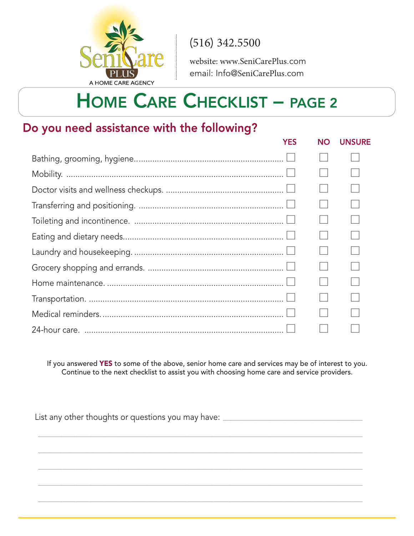

website: www.SeniCarePlus.com email: Info@SeniCarePlus.com

## **HOME CARE CHECKLIST - PAGE 2**

#### Do you need assistance with the following?

| YES | NO. | <b>UNSURE</b> |
|-----|-----|---------------|
|     |     |               |
|     |     |               |
|     |     |               |
|     |     |               |
|     |     |               |
|     |     |               |
|     |     |               |
|     |     |               |
|     |     |               |
|     |     |               |
|     |     |               |
|     |     |               |

If you answered YES to some of the above, senior home care and services may be of interest to you. Continue to the next checklist to assist you with choosing home care and service providers.

List any other thoughts or questions you may have: \_\_\_\_\_\_\_\_\_\_\_\_\_\_\_\_\_\_\_\_\_\_\_\_\_\_\_\_\_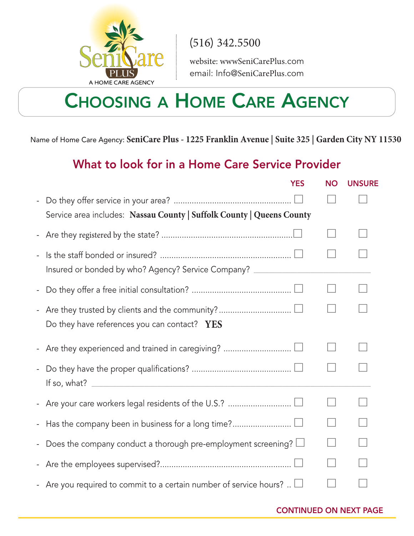

website: wwwSeniCarePlus.com email: Info@SeniCarePlus.com

### **CHOOSING A HOME CARE AGENCY**

Name of Home Care Agency: **SeniCare Plus - 1225 Franklin Avenue | Suite 325 | Garden City NY 11530**

### **What to look for in a Home Care Service Provider**

|                          | <b>YES</b>                                                                       | <b>NO</b> | <b>UNSURE</b> |
|--------------------------|----------------------------------------------------------------------------------|-----------|---------------|
| $\blacksquare$           | Service area includes: Nassau County   Suffolk County   Queens County            |           |               |
|                          |                                                                                  |           |               |
| $\overline{\phantom{a}}$ | Insured or bonded by who? Agency? Service Company? _____________________________ |           |               |
|                          |                                                                                  |           |               |
|                          | Do they have references you can contact? YES                                     |           |               |
|                          |                                                                                  |           |               |
| $\overline{\phantom{a}}$ |                                                                                  |           |               |
|                          |                                                                                  |           |               |
|                          |                                                                                  |           |               |
| $\overline{\phantom{a}}$ | Does the company conduct a thorough pre-employment screening? $\Box$             |           |               |
| $\blacksquare$           |                                                                                  |           |               |
|                          | - Are you required to commit to a certain number of service hours? $\Box$        |           |               |